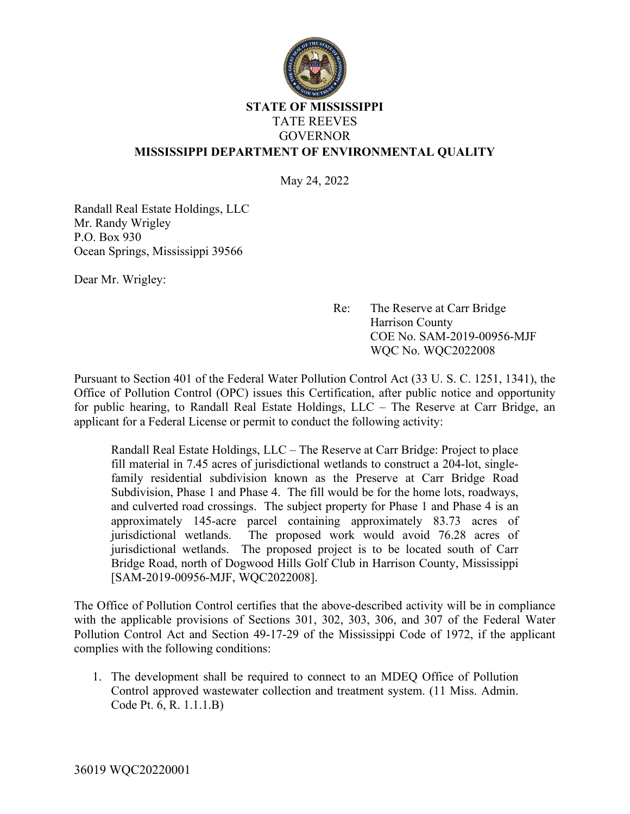

## **STATE OF MISSISSIPPI** TATE REEVES GOVERNOR **MISSISSIPPI DEPARTMENT OF ENVIRONMENTAL QUALITY**

May 24, 2022

Randall Real Estate Holdings, LLC Mr. Randy Wrigley P.O. Box 930 Ocean Springs, Mississippi 39566

Dear Mr. Wrigley:

Re: The Reserve at Carr Bridge Harrison County COE No. SAM-2019-00956-MJF WQC No. WQC2022008

Pursuant to Section 401 of the Federal Water Pollution Control Act (33 U. S. C. 1251, 1341), the Office of Pollution Control (OPC) issues this Certification, after public notice and opportunity for public hearing, to Randall Real Estate Holdings, LLC – The Reserve at Carr Bridge, an applicant for a Federal License or permit to conduct the following activity:

Randall Real Estate Holdings, LLC – The Reserve at Carr Bridge: Project to place fill material in 7.45 acres of jurisdictional wetlands to construct a 204-lot, singlefamily residential subdivision known as the Preserve at Carr Bridge Road Subdivision, Phase 1 and Phase 4. The fill would be for the home lots, roadways, and culverted road crossings. The subject property for Phase 1 and Phase 4 is an approximately 145-acre parcel containing approximately 83.73 acres of jurisdictional wetlands. The proposed work would avoid 76.28 acres of jurisdictional wetlands. The proposed project is to be located south of Carr Bridge Road, north of Dogwood Hills Golf Club in Harrison County, Mississippi [SAM-2019-00956-MJF, WQC2022008].

The Office of Pollution Control certifies that the above-described activity will be in compliance with the applicable provisions of Sections 301, 302, 303, 306, and 307 of the Federal Water Pollution Control Act and Section 49-17-29 of the Mississippi Code of 1972, if the applicant complies with the following conditions:

1. The development shall be required to connect to an MDEQ Office of Pollution Control approved wastewater collection and treatment system. (11 Miss. Admin. Code Pt. 6, R. 1.1.1.B)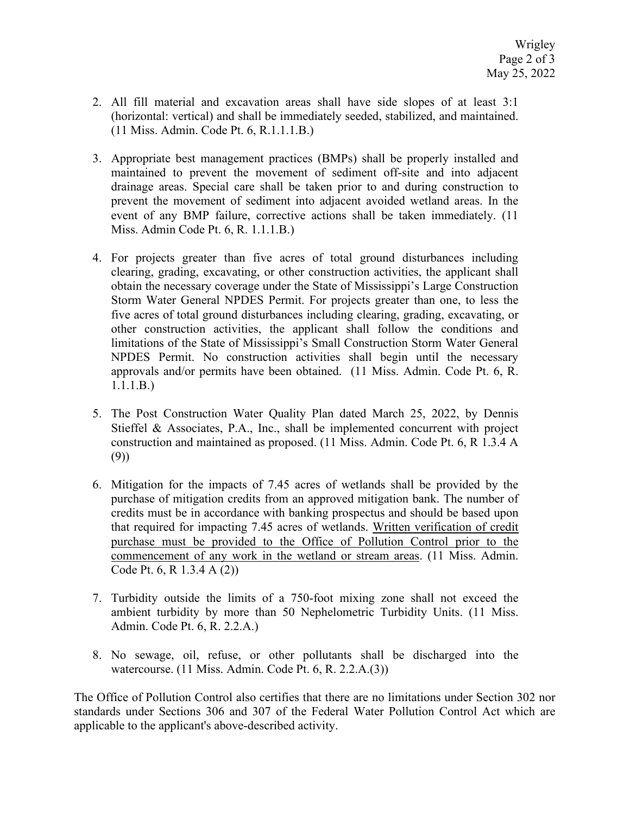- 2. All fill material and excavation areas shall have side slopes of at least 3:1 (horizontal: vertical) and shall be immediately seeded, stabilized, and maintained. (11 Miss. Admin. Code Pt. 6, R.1.1.1.B.)
- 3. Appropriate best management practices (BMPs) shall be properly installed and maintained to prevent the movement of sediment off-site and into adjacent drainage areas. Special care shall be taken prior to and during construction to prevent the movement of sediment into adjacent avoided wetland areas. In the event of any BMP failure, corrective actions shall be taken immediately. (11 Miss. Admin Code Pt. 6, R. 1.1.1.B.)
- 4. For projects greater than five acres of total ground disturbances including clearing, grading, excavating, or other construction activities, the applicant shall obtain the necessary coverage under the State of Mississippi's Large Construction Storm Water General NPDES Permit. For projects greater than one, to less the five acres of total ground disturbances including clearing, grading, excavating, or other construction activities, the applicant shall follow the conditions and limitations of the State of Mississippi's Small Construction Storm Water General NPDES Permit. No construction activities shall begin until the necessary approvals and/or permits have been obtained. (11 Miss. Admin. Code Pt. 6, R. 1.1.1.B.)
- 5. The Post Construction Water Quality Plan dated March 25, 2022, by Dennis Stieffel & Associates, P.A., Inc., shall be implemented concurrent with project construction and maintained as proposed. (11 Miss. Admin. Code Pt. 6, R 1.3.4 A (9))
- 6. Mitigation for the impacts of 7.45 acres of wetlands shall be provided by the purchase of mitigation credits from an approved mitigation bank. The number of credits must be in accordance with banking prospectus and should be based upon that required for impacting 7.45 acres of wetlands. Written verification of credit purchase must be provided to the Office of Pollution Control prior to the commencement of any work in the wetland or stream areas. (11 Miss. Admin. Code Pt. 6, R 1.3.4 A (2))
- 7. Turbidity outside the limits of a 750-foot mixing zone shall not exceed the ambient turbidity by more than 50 Nephelometric Turbidity Units. (11 Miss. Admin. Code Pt. 6, R. 2.2.A.)
- 8. No sewage, oil, refuse, or other pollutants shall be discharged into the watercourse. (11 Miss. Admin. Code Pt. 6, R. 2.2.A.(3))

The Office of Pollution Control also certifies that there are no limitations under Section 302 nor standards under Sections 306 and 307 of the Federal Water Pollution Control Act which are applicable to the applicant's above-described activity.